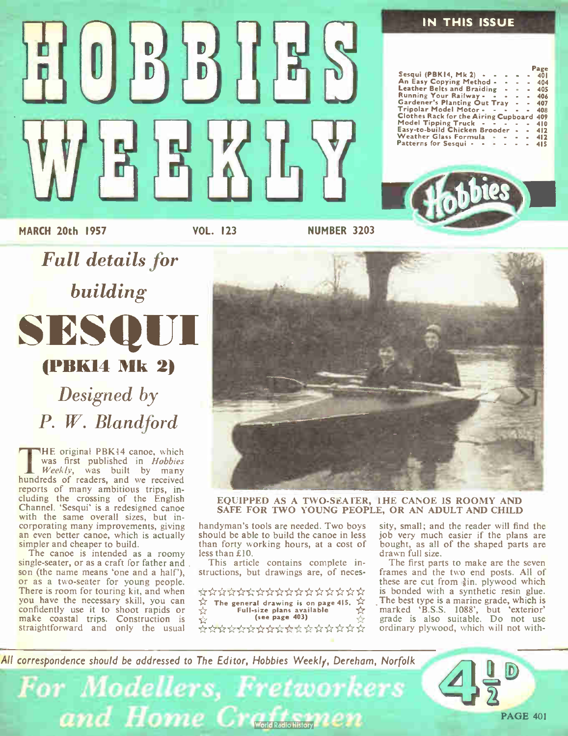#### IN THIS ISSUE

|                                               |  |                    |                | гаке |
|-----------------------------------------------|--|--------------------|----------------|------|
| Sesqui (PBK14, Mk2) - -                       |  |                    | $\sim$         | 401  |
| An Easy Copying Method -                      |  |                    | $\blacksquare$ | 404  |
| Leather Belts and Braiding                    |  |                    | $\blacksquare$ | 405  |
| Running Your Railway -                        |  |                    | $\sim$         | 406  |
| Gardener's Planting Out Tray                  |  |                    | $\sim$         | 407  |
| Tripolar Model Motor - - - -                  |  |                    |                | 408  |
| Clothes Rack for the Airing Cupboard          |  |                    |                | 409  |
| Model Tipping Truck $\cdot \cdot \cdot \cdot$ |  |                    |                | 410  |
| Easy-to-build Chicken Brooder -               |  |                    |                | 412  |
| Weather Glass Formula                         |  | <b>All All And</b> | $\sim$         | 412  |
| Patterns for Sesqui - - - - -                 |  |                    |                | 415  |



MARCH 20th 1957

VOL. 123

ESM

 $\begin{pmatrix} 0 \end{pmatrix}$   $\begin{pmatrix} 0 \end{pmatrix}$   $\begin{pmatrix} 0 \end{pmatrix}$   $\begin{pmatrix} 0 \end{pmatrix}$   $\begin{pmatrix} 0 \end{pmatrix}$   $\begin{pmatrix} 0 \end{pmatrix}$   $\begin{pmatrix} 0 \end{pmatrix}$   $\begin{pmatrix} 0 \end{pmatrix}$ 

NUMBER 3203

building SESQ (PBK14 Mk 2) Designed by

Full details for

P. W. Blandford

THE original PBK14 canoe, which<br>was first published in *Hobbies*<br> $Weekly,$  was built by many HE original PBK14 canoe, which was first published in Hobbies hundreds of readers, and we received reports of many ambitious trips, including the crossing of the English Channel. 'Sesqui' is a redesigned canoe with the same overall sizes, but incorporating many improvements, giving an even better canoe, which is actually simpler and cheaper to build.

The canoe is intended as a roomy single-seater, or as a craft for father and son (the name means 'one and a half'), or as a two-seater for young people. There is room for touring kit, and when you have the necessary skill, you can confidently use it to shoot rapids or make coastal trips. Construction is straightforward and only the usual



EQUIPPED AS A TWO-SEATER, 1HE CANOE IS ROOMY AND SAFE FOR TWO YOUNG PEOPLE, OR AN ADULT AND CHILD

handyman's tools are needed. Two boys should be able to build the canoe in less than forty working hours, at a cost of less than £ 10.

This article contains complete instructions, but drawings are, of neces-

\*\*\*\*\*\*\*\*\*\*\*\*\*\*  $\frac{1}{\sqrt{2}}$  The general drawing is on page 415.  $\frac{1}{\sqrt{2}}$ <br>Full-size plans available Full-size plans available<br>(see page 403)

\*\*\*\*\*\*\*\*\*\*\*\*\*

sity, small; and the reader will find the job very much easier if the plans are bought, as all of the shaped parts are drawn full size.

The first parts to make are the seven frames and the two end posts. All of these are cut from  $\frac{3}{8}$ in, plywood which is bonded with a synthetic resin glue. The best type is a marine grade, which is marked 'B.S.S. 1088', but 'exterior' grade is also suitable. Do not use ordinary plywood, which will not with-

All correspondence should be addressed to The Editor, Hobbies Weekly, Dereham, Norfolk

For Modellers, Fretworkers and Home Craftsmen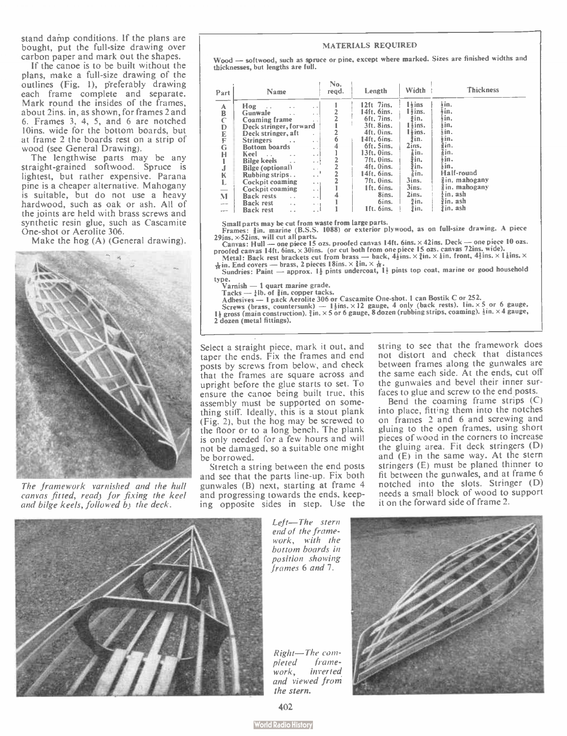stand damp conditions. If the plans are bought, put the full-size drawing over carbon paper and mark out the shapes.

If the canoe is to be built without the plans, make a full-size drawing of the outlines (Fig. 1), preferably drawing each frame complete and separate. Mark round the insides of the frames, about 2ins. in, as shown, for frames 2 and 6. Frames 3, 4, 5, and 6 are notched 10ins, wide for the bottom boards, but at frame 2 the boards rest on a strip of wood (see General Drawing).

The lengthwise parts may be any straight-grained softwood. Spruce is lightest, but rather expensive. Parana pine is a cheaper alternative. Mahogany is suitable, but do not use a heavy hardwood, such as oak or ash. All of the joints are held with brass screws and synthetic resin glue, such as Cascamite One-shot or Aerolite 306.

Make the hog (A) (General drawing).



The framework varnished and the hull canvas fitted, read) for fixing the keel and bilge keels, followed b) the deck.

#### MATERIALS REQUIRED

Wood - softwood, such as spruce or pine, except where marked. Sizes are finished widths and thicknesses, but lengths are full.

| Part                                                                                               | Name                                                                                                                                                                                                                                                                                                                                                                                                                                                                                                                                                 | No.<br>regd. | Length                                                                                                                                                                                                                    | Width                                                                                                                                                                          | <b>Thickness</b>                                                                                                                                                |
|----------------------------------------------------------------------------------------------------|------------------------------------------------------------------------------------------------------------------------------------------------------------------------------------------------------------------------------------------------------------------------------------------------------------------------------------------------------------------------------------------------------------------------------------------------------------------------------------------------------------------------------------------------------|--------------|---------------------------------------------------------------------------------------------------------------------------------------------------------------------------------------------------------------------------|--------------------------------------------------------------------------------------------------------------------------------------------------------------------------------|-----------------------------------------------------------------------------------------------------------------------------------------------------------------|
| A<br>B<br>Ċ<br>D<br>E<br>F<br>G<br>н<br>1<br>j<br>K<br>L<br>—<br>M<br><b>STORY</b><br>state of the | Hog<br>$\cdot$ $\cdot$<br>Gunwale<br>$\sim$<br>Coaming frame<br>$\cdots$<br>Deck stringer, forward<br>Deck stringer, aft<br><b>Stringers</b><br>$\sim$<br>Bottom boards<br>$\sim$<br>Keel<br>$\sim$<br>$\cdot$ $\cdot$<br>$\cdot$ $\cdot$<br><b>Bilge keels</b><br>$\sim$<br>$\cdot$ $\cdot$<br>Bilge (optional)<br>$\sim$<br>Rubbing strips<br>. .<br>Cockpit coaming<br>$\sim$ $\sim$ 1<br>Cockpit coaming<br>$\sim$<br><b>Back rests</b><br>$\sim$<br>$\sim$<br><b>Back rest</b><br>$\sim$<br>$+$ $+$ $+$<br><b>Back rest</b><br>$\sim$<br>$\sim$ |              | 12ft 7ins.<br>14ft. 6ins.<br>6ft. 7ins.<br>3ft. 8ins.<br>4ft. Oins.<br>14ft. 6ins.<br>6ft. Sins.<br>13ft. Oins.<br>7ft. Oins.<br>4ft. Oins.<br>$14$ ft. 6ins.<br>7ft. Oins.<br>Ift. 6ins.<br>8ins.<br>6ins.<br>1ft. 6ins. | $1h$ ins<br>$1\frac{1}{2}$ ins.<br>∄in.<br>$1 \times$ ins.<br>$1\overline{t}$ ins.<br>žin.<br>2ins.<br>Zin.<br>∄in.<br>Ĵin.<br>∦in.<br>3ins.<br>3ins.<br>2ins.<br>łin.<br>łin. | ∔in.<br>∔in.<br>∔in.<br>łin.<br>šin.<br>ŧіn.<br>≩in.<br>≩in.<br>∔in.<br>ķin.<br>Half-round<br>in, mahogany<br>∦in. mahogany<br>∤in, ash<br>žin. ash<br>žin. ash |

Small parts may be Cut trom waste from large parts.<br>
Frames: §in, marine (B.S.S. 1088) or external plywood, as on full-size drawing. A piece<br>  $29$ ins, ×52ins, will cut all parts.<br>
Canvas: Hull — one piece 15 ozs. proofed

 $\frac{1}{16}$  in. End covers — brass, 2 pieces 18ins.  $\times$  810.  $\times$   $\frac{1}{12}$  pints top coat, marine or good household  $\frac{1}{12}$  sundries: Paint — approx. 14 pints undercoat, 14 pints top coat, marine or good household

v<sub>arnish</sub> — 1 quart marine grade.

1 acks — *zin.* of gin. copper tacks.<br>Adhesives — 1 pack Aerolite 306 or Cascamite One-shot. 1 can Bostik C or 252.

Screws (brass, countersunk) -- 1  $\frac{1}{2}$ ins.  $\times$  12 gauge, 4 only (back rests). Iln.  $\times$  5 or 6 gauge, 1  $\frac{1}{2}$ in.  $\times$ 4 gauge, 1  $\frac{1}{2}$ in.  $\times$ 4 gauge,

2 dozen ( metal fittings).

Select a straight piece, mark it out, and taper the ends. Fix the frames and end posts by screws from below, and check that the frames are square across and upright before the glue starts to set. To ensure the canoe being built true, this assembly must be supported on something stiff. Ideally, this is a stout plank (Fig. 2), but the hog may be screwed to the floor or to a long bench. The plank is only needed for a few hours and will not be damaged, so a suitable one might be borrowed.

Stretch a string between the end posts and see that the parts line-up. Fix both gunwales (B) next, starting at frame 4 and progressing towards the ends, keeping opposite sides in step. Use the string to see that the framework does not distort and check that distances between frames along the gunwales are the same each side. At the ends, cut off the gunwales and bevel their inner surfaces to glue and screw to the end posts.

Bend the coaming frame strips (C) into place, fitting them into the notches on frames 2 and 6 and screwing and gluing to the open frames, using short pieces of wood in the corners to increase the gluing area. Fit deck stringers ( D) and  $(E)$  in the same way. At the stern stringers (E) must be planed thinner to fit between the gunwales, and at frame 6 notched into the slots. Stringer (D) needs a small block of wood to support it on the forward side of frame 2.



Left-The stern end of the framework, with the bottom boards in position showing frames 6 and 7.





402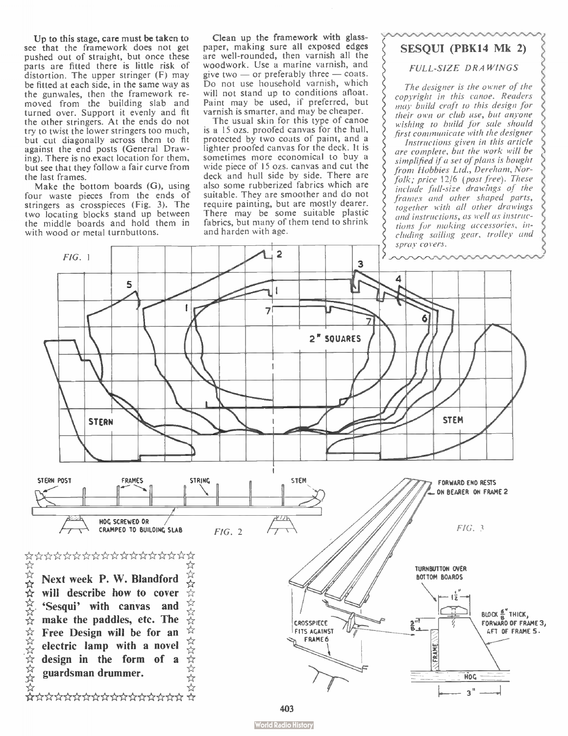Up to this stage, care must be taken to see that the framework does not get pushed out of straight, but once these parts are fitted there is little risk of distortion. The upper stringer (F) may be fitted at each side, in the same way as the gunwales, then the framework removed from the building slab and turned over. Support it evenly and fit the other stringers. At the ends do not try to twist the lower stringers too much, but cut diagonally across them to fit against the end posts ( General Drawing). There is no exact location for them, but see that they follow a fair curve from the last frames.

Make the bottom boards (G), using four waste pieces from the ends of stringers as crosspieces (Fig. 3). The two locating blocks stand up between the middle boards and hold them in with wood or metal turnbuttons.

Clean up the framework with glasspaper, making sure all exposed edges are well-rounded, then varnish all the woodwork. Use a marine varnish, and give two — or preferably three — coats.<br>Do not use household varnish, which will not stand up to conditions afloat. Paint may be used, if preferred, but varnish is smarter, and may be cheaper.

The usual skin for this type of canoe is a 15 ozs. proofed canvas for the hull, protected by two coats of paint, and a lighter proofed canvas for the deck. It is sometimes more economical to buy a wide piece of 15 ozs. canvas and cut the deck and hull side by side. There are also some rubberized fabrics which are suitable. They are smoother and do not require painting, but are mostly dearer. There may be some suitable plastic fabrics, but many of them tend to shrink and harden with age.

### SESQUI (PBK14 Mk 2)

#### FULL-SIZE DRAWINGS

The designer is the owner of the copyright in this canoe. Readers may build craft to this design for their own or club use, but anvone wishing to build for sale should .first communicate with the designer

Instructions given in this article are complete, but the work will be simplified if a set of plans is bought from Hobbies Ltd., Dereham, Norfolk; price 12/6 (post free). These include full-size drawings of the frames and other shaped parts, together with all other drawings and instructions, as well as instructions for making accessories, including sailing gear, trolley and

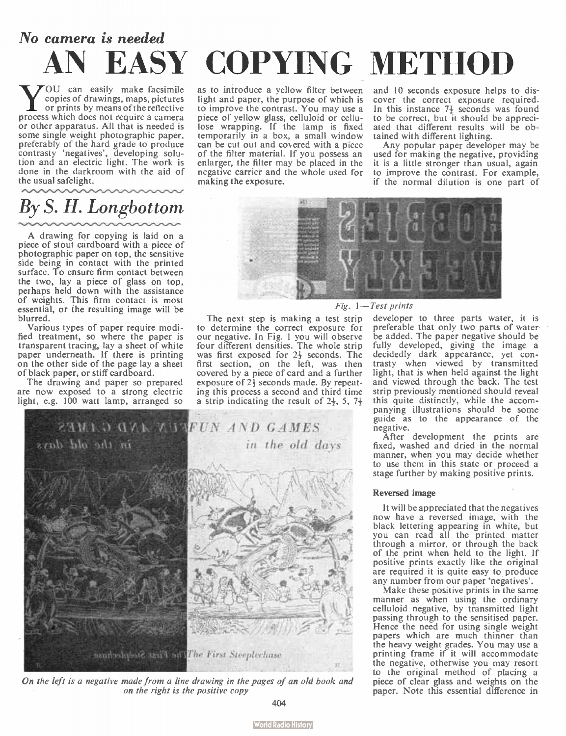# No camera is needed AN EASY COPYING METHOD

**W** OU can easily make facsimile<br>
or prints by means of the reflective<br>
process which does not require a camera OU can easily make facsimile copies of drawings, maps, pictures or prints by means of the reflective or other apparatus. All that is needed is some single weight photographic paper, preferably of the hard grade to produce contrasty ' negatives', developing solu-tion and an electric light. The work is done in the darkroom with the aid of the usual safelight.

# By S. H. Longbottom

A drawing for copying is laid on a piece of stout cardboard with a piece of photographic paper on top, the sensitive side being in contact with the printed surface. To ensure firm contact between the two, lay a piece of glass on top, perhaps held down with the assistance of weights. This firm contact is most essential, or the resulting image will be blurred.

Various types of paper require modified treatment, so where the paper is transparent tracing, lay a sheet of white paper underneath. If there is printing on the other side of the page lay a sheet of black paper, or stiff cardboard.

The drawing and paper so prepared are now exposed to a strong electric light, e.g. 100 watt lamp, arranged so as to introduce a yellow filter between light and paper, the purpose of which is to improve the contrast. You may use a piece of yellow glass, celluloid or cellulose wrapping. If the lamp is fixed temporarily in a box, a small window can be cut out and covered with a piece of the filter material. If you possess an enlarger, the filter may be placed in the negative carrier and the whole used for making the exposure.

and 10 seconds exposure helps to discover the correct exposure required. In this instance 7<sup>1</sup> seconds was found to be correct, but it should be appreciated that different results will be obtained with different lighting.

Any popular paper developer may be used for making the negative, providing it is a little stronger than usual, again to improve the contrast. For example, if the normal dilution is one part of



The next step is making a test strip to determine the correct exposure for our negative. In Fig. 1 you will observe four different densities. The whole strip was first exposed for  $2\frac{1}{2}$  seconds. The first section, on the left, was then covered by a piece of card and a further exposure of 2} seconds made. By repeating this process a second and third time a strip indicating the result of 2}, 5, 74



On the left is a negative made from a line drawing in the pages of an old book and on the right is the positive copy

developer to three parts water, it is preferable that only two parts of waterbe added. The paper negative should be fully developed, giving the image a decidedly dark appearance, yet contrasty when viewed by transmitted light, that is when held against the light and viewed through the back. The test strip previously mentioned should reveal this quite distinctly, while the accompanying illustrations should be some guide as to the appearance of the negative.

After development the prints are fixed, washed and dried in the normal manner, when you may decide whether to use them in this state or proceed a stage further by making positive prints.

#### Reversed image

It will be appreciated that the negatives now have a reversed image, with the black lettering appearing in white, but you can read all the printed matter through a mirror, or through the back of the print when held to the light. If positive prints exactly like the original are required it is quite easy to produce any number from our paper 'negatives'.

Make these positive prints in the same manner as when using the ordinary celluloid negative, by transmitted light passing through to the sensitised paper. Hence the need for using single weight papers which are much thinner than the heavy weight grades. You may use a printing frame if it will accommodate the negative, otherwise you may resort to the original method of placing a piece of clear glass and weights on the paper. Note this essential difference in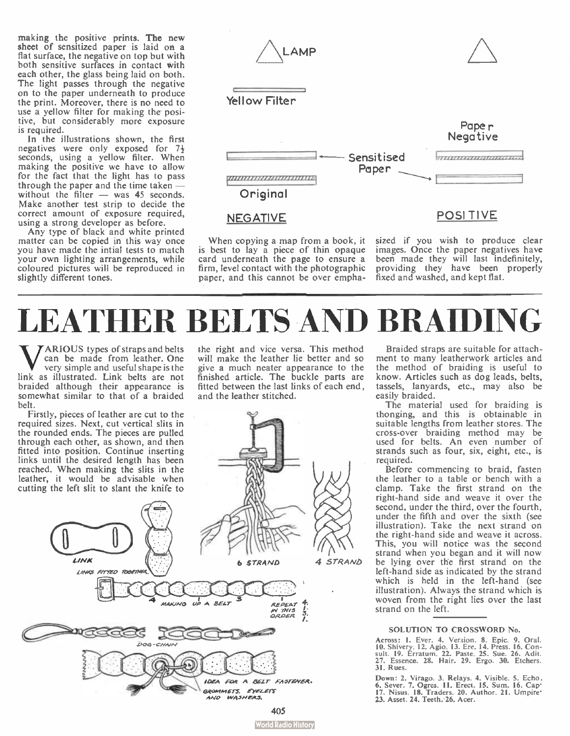making the positive prints. The new sheet of sensitized paper is laid on a flat surface, the negative on top but with both sensitive surfaces in contact with each other, the glass being laid on both. The light passes through the negative on to the paper underneath to produce the print. Moreover, there is no need to use a yellow filter for making the positive, but considerably more exposure is required.

In the illustrations shown, the first negatives were only exposed for 74 seconds, using a yellow filter. When making the positive we have to allow for the fact that the light has to pass through the paper and the time taken without the filter  $-$  was 45 seconds. Make another test strip to decide the correct amount of exposure required, using a strong developer as before.

Any type of black and white printed matter can be copied in this way once you have made the intial tests to match your own lighting arrangements, while coloured pictures will be reproduced in slightly different tones.



When copying a map from a book, it is best to lay a piece of thin opaque card underneath the page to ensure a firm, level contact with the photographic paper, and this cannot be over empha-

sized if you wish to produce clear images. Once the paper negatives have been made they will last indefinitely, providing they have been properly fixed and washed, and kept flat.

# LEATHER BELTS AND BRAIDING

**WARIOUS** types of straps and belts<br>very simple and useful shape is the<br>link as illustrated. Link belts are not ARIOUS types of straps and belts can be made from leather. One very simple and useful shape is the braided although their appearance is somewhat similar to that of a braided belt.

required sizes. Next, cut vertical slits in the rounded ends. The pieces are pulled through each other, as shown, and then fitted into position. Continue inserting links until the desired length has been reached. When making the slits in the leather, it would be advisable when the right and vice versa. This method will make the leather lie better and so give a much neater appearance to the finished article. The buckle parts are fitted between the last links of each end, and the leather stitched.



Braided straps are suitable for attachment to many leatherwork articles and the method of braiding is useful to know. Articles such as dog leads, belts, tassels, lanyards, etc., may also be easily braided.

The material used for braiding is thonging, and this is obtainable in suitable lengths from leather stores. The cross-over braiding method may be used for belts. An even number of strands such as four, six, eight, etc., is required.

Before commencing to braid, fasten the leather to a table or bench with a clamp. Take the first strand on the right-hand side and weave it over the second, under the third, over the fourth, under the fifth and over the sixth (see illustration). Take the next strand on the right-hand side and weave it across. This, you will notice was the second strand when you began and it will now be lying over the first strand on the left-hand side as indicated by the strand which is held in the left-hand (see illustration). Always the strand which is woven from the right lies over the last strand on the left.

#### SOLUTION TO CROSSWORD No.

Across: 1. Ever. 4. Version. 6. Epic. 9. Oral.<br>10. Shivery. 12. Agio. 13. Ere. 14. Press. 16. Con-<br>sult. 19. Erratum. 22. Paste. 25. Sue. 26. Adit.<br>27. Essence. 28. Hair. 29. Ergo. 30. Etchers. 31. Rues.

Down: 2. Virago. 3. Relays. 4. Visible. 5. Echo. 6. Sever. 7. Ogres. 11. Erect. 15. Sum. 16. Cap<sup>1</sup><br>17. Nisus. 18. Traders. 20. Author. 21. Umpire\* 23. Asset. 24. Teeth. 26. Acer.

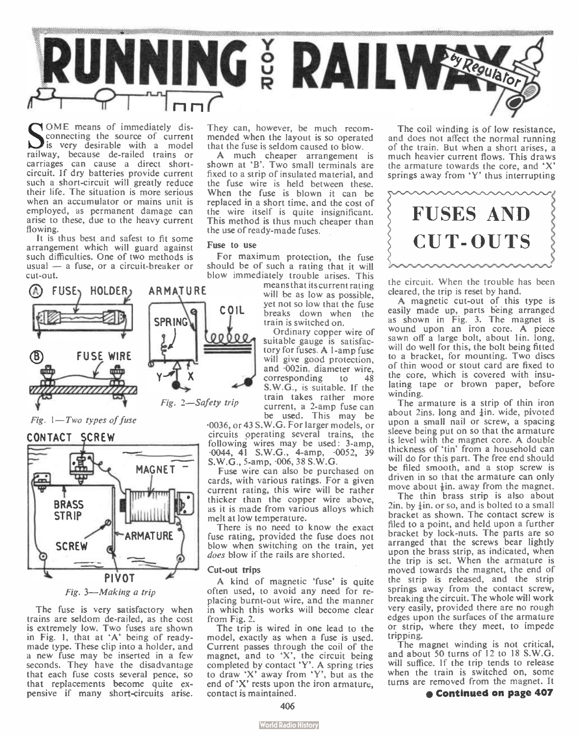

 $S_{\text{cor}}^{\text{on}}$ OME means of immediately disconnecting the source of current is very desirable with a model railway, because de-railed trains or carriages can cause a direct shortcircuit. If dry batteries provide current such a short-circuit will greatly reduce their life. The situation is more serious when an accumulator or mains unit is employed, as permanent damage can arise to these, due to the heavy current flowing.

It is thus best and safest to fit some arrangement which will guard against such difficulties. One of two methods is usual — a fuse, or a circuit-breaker or cut-out.



Fig. 1—Two types of fuse



The fuse is very satisfactory when trains are seldom de-railed, as the cost is extremely low. Two fuses are shown in Fig. 1, that at 'A' being of readymade type. These clip into a holder, and a new fuse may be inserted in a few seconds. They have the disadvantage that each fuse costs several pence, so that replacements become quite expensive if many short-circuits arise.

They can, however, be much recommended when the layout is so operated that the fuse is seldom caused to blow.

A much cheaper arrangement is shown at 'B'. Two small terminals are fixed to a strip of insulated material, and the fuse wire is held between these. When the fuse is blown it can be replaced in a short time, and the cost of the wire itself is quite insignificant. This method is thus much cheaper than the use of ready-made fuses.

#### Fuse to use

 $\Omega$ 

For maximum protection, the fuse should be of such a rating that it will blow immediately trouble arises. This

means that its current rating will be as low as possible. yet not so low that the fuse breaks down when the train is switched on.

Ordinary copper wire of suitable gauge is satisfactory for fuses. A 1-amp fuse will give good protection, and .002in. diameter wire, corresponding to 48 S.W.G., is suitable. If the train takes rather more current, a 2-amp fuse can be used. This may be

«36, or 43 S.W.G. For larger models, or circuits operating several trains, the following wires may be used: 3-amp,<br>-0044, 41 S.W.G., 4-amp, -0052, 39<br>S.W.G., 5-amp, -006, 38 S.W.G.

Fuse wire can also be purchased on cards, with various ratings. For a given current rating, this wire will be rather thicker than the copper wire above, as it is made from various alloys which melt at low temperature.

There is no need to know the exact fuse rating, provided the fuse does not blow when switching on the train, yet does blow if the rails are shorted.

#### Cut-out trips

A kind of magnetic 'fuse' is quite often used, to avoid any need for replacing burnt-out wire, and the manner in which this works will become clear from Fig. 2.

The trip is wired in one lead to the model, exactly as when a fuse is used. Current passes through the coil of the magnet, and to ' $X'$ , the circuit being completed by contact 'Y'. A spring tries to draw 'X' away from 'Y', but as the end of 'X' rests upon the iron armature, contact is maintained.

The coil winding is of low resistance, and does not affect the normal running of the train. But when a short arises, a much heavier current flows. This draws the armature towards the core, and  $'X'$ springs away from 'Y' thus interrupting



the circuit. When the trouble has been cleared, the trip is reset by hand.

A magnetic cut-out of this type is easily made up, parts being arranged as shown in Fig. 3. The magnet is wound upon an iron core. A piece sawn off a large bolt, about 1in. long, will do well for this, the bolt being fitted to a bracket, for mounting. Two discs of thin wood or stout card are fixed to the core, which is covered with insulating tape or brown paper, before winding.

The armature is a strip of thin iron about 2ins. long and  $\frac{1}{2}$ in. wide, pivoted upon a small nail or screw, a spacing sleeve being put on so that the armature is level with the magnet core. A double thickness of 'tin' from a household can will do for this part. The free end should be filed smooth, and a stop screw is driven in so that the armature can only move about  $\frac{1}{2}$ in. away from the magnet.

The thin brass strip is also about  $2$ in. by  $\frac{1}{2}$ in. or so, and is bolted to a small bracket as shown. The contact screw is filed to a point, and held upon a further bracket by lock-nuts. The parts are so arranged that the screws bear lightly upon the brass strip, as indicated, when the trip is set. When the armature is moved towards the magnet, the end of the strip is released, and the strip springs away from the contact screw, breaking the circuit. The whole will work very easily, provided there are no rough edges upon the surfaces of the armature or strip, where they meet, to impede tripping.

The magnet winding is not critical, and about 50 turns of 12 to 18 S.W.G. will suffice. If the trip tends to release when the train is switched on, some turns are removed from the magnet. It

#### • Continued on page 407

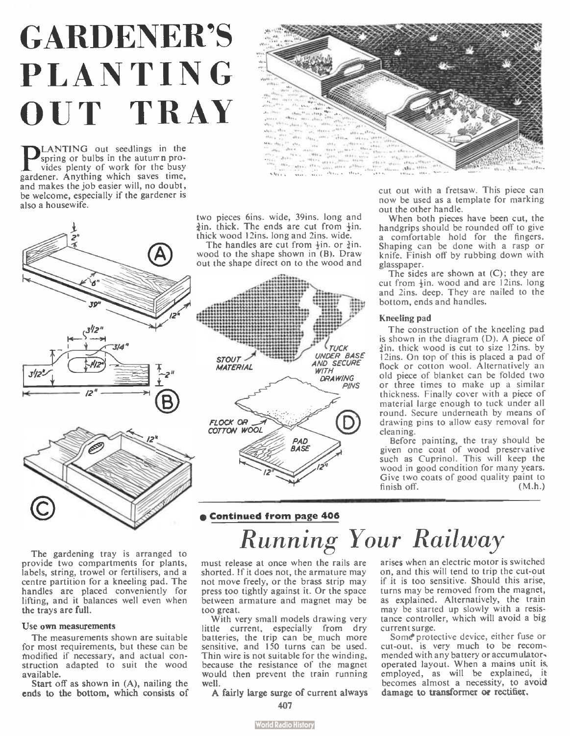# GARDENER'S PLANTING OUT TRAY

**P** LANTING out seedlings in the spring or bulbs in the autumn pro-<br>vides plenty of work for the busy vides plenty of work for the busy gardener. Anything which saves time, and makes the job easier will, no doubt, be welcome, especially if the gardener is also a housewife.



two pieces 6ins. wide, 39ins. long and  $\frac{1}{4}$ in. thick. The ends are cut from  $\frac{1}{2}$ in. thick wood 12ins. long and 2ins. wide. The handles are cut from  $\frac{1}{2}$ in. or  $\frac{3}{2}$ in. wood to the shape shown in (B). Draw out the shape direct on to the wood and



TUCK UNDER BASE STOUT AND SECURE **MATERIAL WITH DRAWING PINS** FLOCK OR COTTON WOOL PAD **BASE** I2'

now be used as a template for marking out the other handle.

When both pieces have been cut, the handgrips should be rounded off to give a comfortable hold for the fingers. Shaping can be done with a rasp or knife. Finish off by rubbing down with glasspaper.

The sides are shown at (C); they are cut from  $\frac{1}{2}$ in, wood and are 12ins. long and 2ins. deep. They are nailed to the bottom, ends and handles.

#### Kneeling pad

The construction of the kneeling pad is shown in the diagram (D). A piece of In. thick wood is cut to size 12ins. by I 2ins. On top of this is placed a pad of flock or cotton wool. Alternatively an old piece of blanket can be folded two or three times to make up a similar thickness. Finally cover with a piece of material large enough to tuck under all round. Secure underneath by means of drawing pins to allow easy removal for cleaning.

Before painting, the tray should be given one coat of wood preservative such as Cuprinol. This will keep the wood in good condition for many years. Give two coats of good quality paint to<br>finish off. (M.h.)

#### The gardening tray is arranged to provide two compartments for plants, labels, string, trowel or fertilisers, and a centre partition for a kneeling pad. The handles are placed conveniently for lifting, and it balances well even when the trays are full.

#### Use own measurements

The measurements shown are suitable for most requirements, but these can be modified if necessary, and actual construction adapted to suit the wood available.

Start off as shown in (A), nailing the ends to the bottom, which consists of Running Your Railway

must release at once when the rails are shorted. If it does not, the armature may not move freely, or the brass strip may press too tightly against it. Or the space between armature and magnet may be too great.

With very small models drawing very little current, especially from dry batteries, the trip can be much more sensitive, and 150 turns can be used. Thin wire is not suitable for the winding, because the resistance of the magnet would then prevent the train running well.

A fairly large surge of current always

**World Radio History** 

arises when an electric motor is switched on, and this will tend to trip the cut-out if it is too sensitive. Should this arise, turns may be removed from the magnet, as explained. Alternatively, the train may be started up slowly with a resistance controller, which will avoid a big current surge.

Some protective device, either fuse or cut-out, is very much to be recommended with any battery or accumulator, operated layout. When a mains unit is employed, as will be explained, it becomes almost a necessity, to avoid damage to transformer or rectifier.

<sup>407</sup>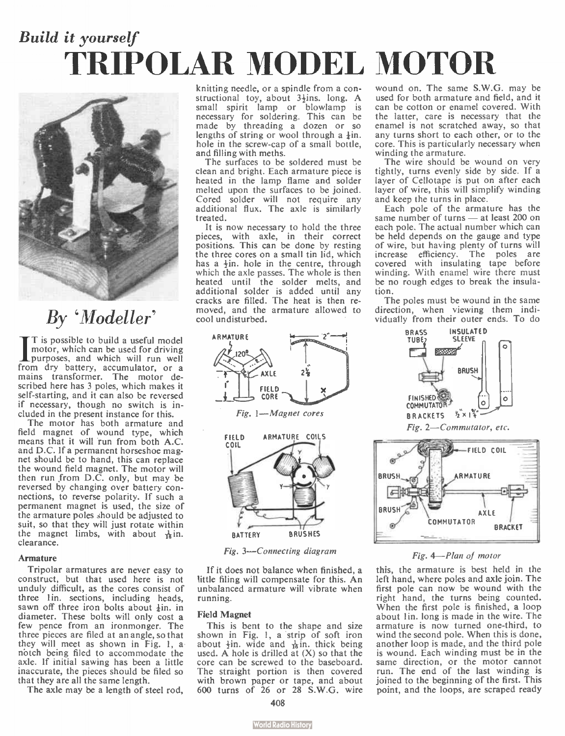# Build it yourself TRIPOLAR MODEL MOTOR



### By 'Modeller'

 $\prod_{\text{putr}}^{\text{I} \text{ is}}$ T is possible to build a useful model motor, which can be used for driving purposes, and which will run well from dry battery, accumulator, or a mains transformer. The motor described here has 3 poles, which makes it self-starting, and it can also be reversed if necessary, though no switch is included in the present instance for this.

The motor has both armature and field magnet of wound type, which means that it will run from both A.C. and D.C. If a permanent horseshoe magnet should be to hand, this can replace the wound field magnet. The motor will then run from D.C. only, but may be reversed by changing over battery connections, to reverse polarity. If such a permanent magnet is used, the size of the armature poles should be adjusted to suit, so that they will just rotate within the magnet limbs, with about  $\frac{1}{16}$  in. clearance.

#### Armature

Tripolar armatures are never easy to construct, but that used here is not unduly difficult, as the cores consist of three 1in. sections, including heads, sawn off three iron bolts about  $\frac{1}{2}$ in, in diameter. These bolts will only cost a few pence from an ironmonger. The three pieces are filed at an angle, so that they will meet as shown in Fig. 1, a. notch being filed to accommodate the axle. If initial sawing has been a little inaccurate, the pieces should be filed so that they are all the same length.

The axle may be a length of steel rod,

knitting needle, or a spindle from a constructional toy, about 3<sup>4</sup>ins. long. A small spirit lamp or blowlamp is necessary for soldering. This can be made by threading a dozen or so lengths of string or wool through a  $\frac{1}{2}$ in. hole in the screw-cap of a small bottle, and filling with meths.

The surfaces to be soldered must be clean and bright. Each armature piece is heated in the lamp flame and solder melted upon the surfaces to be joined. Cored solder will not require any additional flux. The axle is similarly treated.

It is now necessary to hold the three pieces, with axle, in their correct positions. This can be done by resting the three cores on a small tin lid, which has a  $\frac{1}{2}$ in. hole in the centre, through which the axle passes. The whole is then heated until the solder melts, and additional solder is added until any cracks are filled. The heat is then removed, and the armature allowed to cool undisturbed.



Fig. 3—Connecting diagram

If it does not balance when finished, a little filing will compensate for this. An unbalanced armature will vibrate when running.

#### Field Magnet

This is bent to the shape and size shown in Fig. 1, a strip of soft iron about  $\frac{1}{2}$ in. wide and  $\frac{1}{16}$ in. thick being used. A hole is drilled at  $(X)$  so that the core can be screwed to the baseboard. The straight portion is then covered with brown paper or tape, and about 600 turns of 26 or 28 S.W.G. wire

wound on. The same S.W.G. may be used for both armature and field, and it can be cotton or enamel covered. With the latter, care is necessary that the enamel is not scratched away, so that any turns short to each other, or to the core. This is particularly necessary when winding the armature.

The wire should be wound on very tightly, turns evenly side by side. If a layer of Cellotape is put on after each layer of wire, this will simplify winding and keep the turns in place.

Each pole of the armature has the same number of turns — at least 200 on each pole. The actual number which can be held depends on the gauge and type of wire, but having plenty of turns will increase efficiency. The poles are covered with insulating tape before winding. With enamel wire there must be no rough edges to break the insulation.

The poles must be wound in the same direction, when viewing them individually from their outer ends. To do



Fig. 4—Plan of motor

**COMMUTATOR** 

BRACKET

this, the armature is best held in the left hand, where poles and axle join. The first pole can now be wound with the right hand, the turns being counted. When the first pole is finished, a loop about lin, long is made in the wire. The armature is now turned one-third, to wind the second pole. When this is done, another loop is made, and the third pole is wound. Each winding must be in the same direction, or the motor cannot run. The end of the last winding is joined to the beginning of the first. This point, and the loops, are scraped ready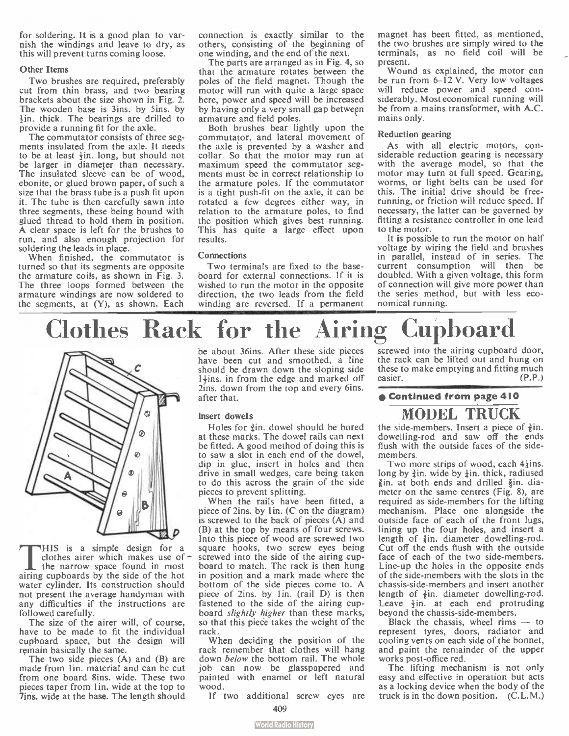for soldering. It is a good plan to varnish the windings and leave to dry, as this will prevent turns coming loose.

#### Other Items

Two brushes are required, preferably cut from thin brass, and two bearing brackets about the size shown in Fig. 2. The wooden base is 3ins. by Sins. by lin. thick. The bearings are drilled to provide a running fit for the axle.

The commutator consists of three segments insulated from the axle. It needs to be at least  $\frac{1}{2}$ in, long, but should not be larger in diameter than necessary. The insulated sleeve can be of wood, ebonite, or glued brown paper, of such a size that the brass tube is a push fit upon it. The tube is then carefully sawn into three segments, these being bound with glued thread to hold them in position. A clear space is left for the brushes to run, and also enough projection for soldering the leads in place.

When finished, the commutator is turned so that its segments are opposite the armature coils, as shown in Fig. 3. The three loops formed between the armature windings are now soldered to the segments, at (Y), as shown. Each

connection is exactly similar to the others, consisting of the beginning of one winding, and the end of the next.

The parts are arranged as in Fig. 4, so that the armature rotates between the poles of the field magnet. Though the motor will run with quite a large space here, power and speed will be increased by having only a very small gap between armature and field poles.

Both brushes bear lightly upon the commutator, and lateral movement of the axle is prevented by a washer and collar. So that the motor may run at maximum speed the commutator segments must be in correct relationship to the armature poles. If the commutator is a tight push-fit on the axle, it can be rotated a few degrees either way, in relation to the armature poles, to find the position which gives best running. This has quite a large effect upon results.

#### Connections

Two terminals are fixed to the baseboard for external connections. If it is wished to run the motor in the opposite direction, the two leads from the field winding are reversed. If a permanent magnet has been fitted, as mentioned, the two brushes are simply wired to the terminals, as no field coil will be present.

Wound as explained, the motor can be run from 6-12 V. Very low voltages will reduce power and speed considerably. Most economical running will be from a mains transformer, with A.C. mains only.

#### Reduction gearing

As with all electric motors, considerable reduction gearing is necessary with the average model, so that the motor may turn at full speed. Gearing, worms, or light belts can be used for this. The initial drive should be freerunning, or friction will reduce speed. If necessary, the latter can be governed by fitting a resistance controller in one lead to the motor.

It is possible to run the motor on half voltage by wiring the field and brushes in parallel, instead of in series. The current consumption will then be doubled. With a given voltage, this form of connection will give more power than the series method, but with less economical running.





THIS is a simple design for a coltes aircr which makes use of  $\sigma$  the narrow space found in most airing cupboards by the side of the hot HIS is a simple design for a clothes airer which makes use of the narrow space found in most water cylinder. Its construction should not present the average handyman with any difficulties if the instructions are followed carefully.

The size of the airer will, of course, have to be made to fit the individual cupboard space, but the design will remain basically the same.

The two side pieces (A) and (B) are made from 1 in. material and can be cut from one board 8ins. wide. These two pieces taper from lin, wide at the top to 7ins. wide at the base. The length should be about 36ins. After these side pieces have been cut and smoothed, a line should be drawn down the sloping side  $1\frac{1}{2}$ ins. in from the edge and marked off 2ins. down from the top and every 6ins. after that.

#### Insert dowels

Holes for  $\frac{3}{2}$ in, dowel should be bored at these marks. The dowel rails can next be fitted. A good method of doing this is to saw a slot in each end of the dowel, dip in glue, insert in holes and then drive in small wedges, care being taken to do this across the grain of the side pieces to prevent splitting.

When the rails have been fitted, a piece of 2ins. by 1in.  $(C$  on the diagram) is screwed to the back of pieces (A) and (B) at the top by means of four screws. Into this piece of wood are screwed two square hooks, two screw eyes being screwed into the side of the airing cupboard to match. The rack is then hung in position and a mark made where the bottom of the side pieces come to. A piece of 2ins. by 1 in. (rail D) is then fastened to the side of the airing cupboard slightly higher than these marks, so that this piece takes the weight of the rack.

When deciding the position of the rack remember that clothes will hang down below the bottom rail. The whole job can now be glasspapered and painted with enamel or left natural wood.

If two additional screw eyes are

screwed into the airing cupboard door, the rack can be lifted out and hung on these to make emptying and fitting much easier. (P.P.)

#### • Continued from page 410

#### MODEL TRUCK

the side-members. Insert a piece of  $\frac{3}{2}$ in. dowelling-rod and saw off the ends flush with the outside faces of the sidemembers.

Two more strips of wood, each  $4\frac{1}{2}$ ins. long by  $\frac{3}{4}$ in, wide by  $\frac{1}{4}$ in, thick, radiused  $\frac{3}{8}$ in. at both ends and drilled  $\frac{3}{8}$ in. diameter on the same centres (Fig. 8), are required as side-members for the lifting mechanism. Place one alongside the outside face of each of the front lugs, lining up the four holes, and insert a length of  $\frac{3}{2}$ in, diameter dowelling-rod. Cut off the ends flush with the outside face of each of the two side-members. Line-up the holes in the opposite ends of the side-members with the slots in the chassis-side-members and insert another length of  $\frac{3}{2}$ in, diameter dowelling-rod. Leave  $\frac{1}{2}$ in. at each end protruding beyond the chassis-side-members.

Black the chassis, wheel rims — to represent tyres, doors, radiator and cooling vents on each side of the bonnet, and paint the remainder of the upper works post-office red.

The lifting mechanism is not only easy and effective in operation but acts as a locking device when the body of the truck is in the down position. (C.L.M.)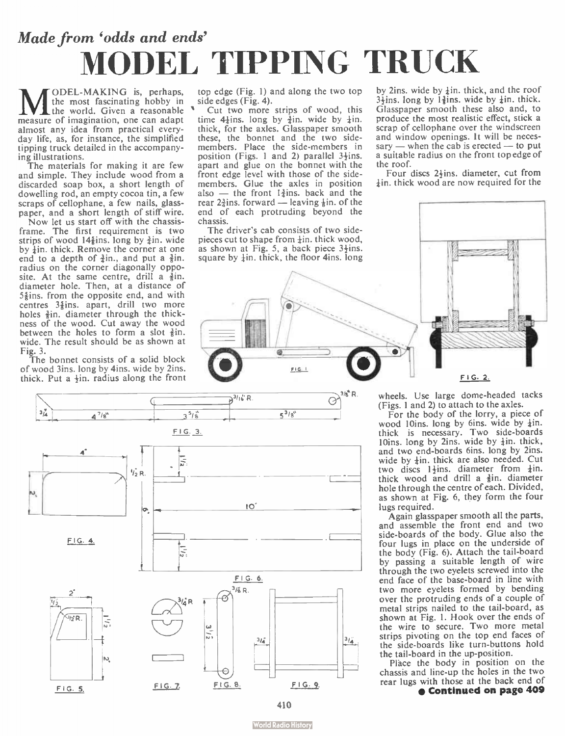# Made from 'odds and ends' MODEL TIPPING TRUCK

**MEL-MAKING** is, perhaps,<br>the most fascinating hobby in<br>measure of imagination, one can adapt ODEL- MAKING is, perhaps, the most fascinating hobby in the world. Given a reasonable almost any idea from practical everyday life, as, for instance, the simplified tipping truck detailed in the accompanying illustrations.

The materials for making it are few and simple. They include wood from a discarded soap box, a short length of dowelling rod, an empty cocoa tin, a few scraps of cellophane, a few nails, glasspaper, and a short length of stiff wire.

Now let us start off with the chassisframe. The first requirement is two strips of wood  $14\frac{2}{3}$ ins. long by  $\frac{3}{2}$ in, wide by  $\frac{1}{2}$ in. thick. Remove the corner at one end to a depth of  $\frac{3}{2}$ in., and put a  $\frac{3}{2}$ in. radius on the corner diagonally opposite. At the same centre, drill a  $\frac{3}{2}$ in. diameter hole. Then, at a distance of  $5\frac{2}{3}$ ins. from the opposite end, and with centres 3<sup>§</sup>ins. apart, drill two more holes  $\frac{3}{8}$ in, diameter through the thickness of the wood. Cut away the wood between the holes to form a slot  $\frac{3}{2}$ in. wide. The result should be as shown at Fig. 3.

The bonnet consists of a solid block of wood 3ins. long by 4ins. wide by 2ins. thick. Put a +in, radius along the front top edge (Fig. 1) and along the two top side edges (Fig. 4).

Cut two more strips of wood, this time  $4\frac{1}{4}$ ins. long by  $\frac{3}{4}$ in, wide by  $\frac{1}{4}$ in. thick, for the axles. Glasspaper smooth these, the bonnet and the two side-members. Place the side-members in position (Figs. 1 and 2) parallel  $3\frac{1}{2}$ ins. apart and glue on the bonnet with the front edge level with those of the sidemembers. Glue the axles in position also — the front 1 $\frac{3}{4}$ ins. back and the rear  $2\frac{3}{10}$ ins. forward — leaving  $\frac{1}{2}$ in, of the end of each protruding beyond the chassis.

The driver's cab consists of two sidepieces cut to shape from lin, thick wood, as shown at Fig. 5, a back piece 3+ins. square by  $\frac{1}{2}$ in, thick, the floor 4ins. long

by 2ins. wide by  $\frac{1}{2}$ in. thick, and the roof  $3\frac{1}{3}$ ins. long by  $1\frac{3}{3}$ ins. wide by  $\frac{1}{4}$ in. thick. Glasspaper smooth these also and, to produce the most realistic effect, stick a scrap of cellophane over the windscreen and window openings. It will be neces $s$ ary — when the cab is erected — to put a suitable radius on the front top edge of the roof.

Four discs 2<sup>4</sup>ins. diameter, cut from  $\frac{1}{2}$ in, thick wood are now required for the





wheels. Use large dome-headed tacks (Figs. 1 and 2) to attach to the axles.

For the body of the lorry, a piece of wood 10ins, long by 6ins. wide by ¡in. thick is necessary. Two side-boards<br>10ins, long by 2ins, wide by  $\frac{1}{2}$ in, thick, and two end-boards 6ins. long by 2ins. wide by  $\frac{1}{2}$ in, thick are also needed. Cut two discs  $1\frac{1}{2}$ ins. diameter from  $\frac{1}{2}$ in. thick wood and drill a  $\frac{3}{8}$ in, diameter hole through the centre of each. Divided, as shown at Fig. 6, they form the four lugs required.

Again glasspaper smooth all the parts, and assemble the front end and two side-boards of the body. Glue also the four lugs in place on the underside of the body (Fig. 6). Attach the tail-board by passing a suitable length of wire through the two eyelets screwed into the end face of the base-board in line with two more eyelets formed by bending over the protruding ends of a couple of metal strips nailed to the tail-board, as shown at Fig. 1. Hook over the ends of the wire to secure. Two more metal strips pivoting on the top end faces of the side-boards like turn-buttons hold the tail-board in the up-position.

Pláce the body in position on the chassis and line-up the holes in the two rear lugs with those at the back end of • Continued on page 409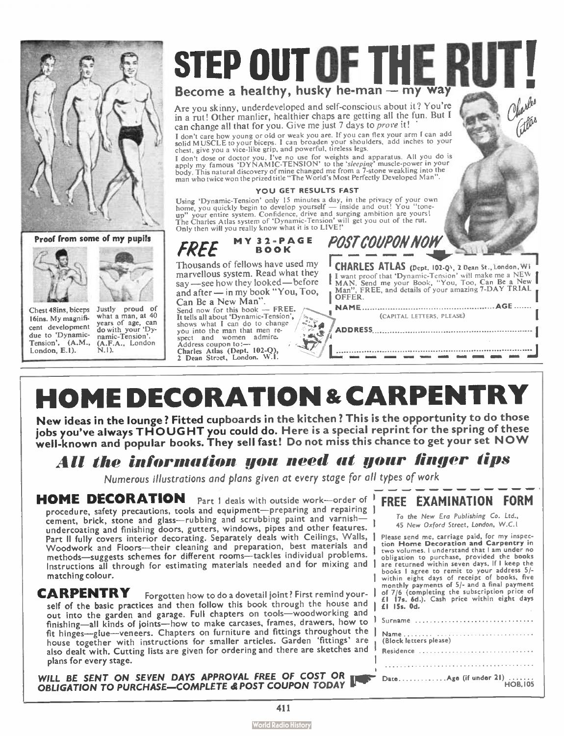

Proof from some of my pupils





16ins. My magnifidue to 'Dynamic-<br>Tension', (A.M., (A.F.A., Londo  $London, E.1$ ).

Chest 48ins, biceps Justly proud of<br>16ins My magnific what a man, at 40 cent development years of age, can (A.F.A., London).



Are you skinny, underdeveloped and self-conscious about it? You're in a rut! Other manlier, healthier chaps are getting all the fun. But I can change all that for you. Give me just 7 days to prove it!

I don't care how young or old or weak you are. If you can flex your arm I can add solid MUSCLE to your biceps. I can broaden your shoulders, add inches to your chest, give you a vice- like grip, and powerful, tireless legs.

I don't dose or doctor you. I've no use for weights and apparatus. All you do is<br>apply my famous 'DYNAMIC-TENSION' to the 'sleeping' muscle-power in your<br>body. This natural discovery of mine changed me from a 7-stone weakl

#### YOU GET RESULTS FAST

Using 'Dynamic-Tension' only 15 minutes a day, in the privacy of your own<br>home, you quickly begin to develop yourself — inside and out! You "trone-<br>up" your entire system. Confidence, drive and surging ambition are yours!<br> Only then will you really know what it is to LIVE!'

4

œ

FREE Thousands of fellows have used my marvellous system. Read what they say — see how they looked— before and after — in my book " You, Too, MY 32- PAGE

Can Be a New Man".<br>Send now for this book — FREE. Send now for this book  $-$ It tells all about 'Dynamic-Tension', shows what I can do to change you into the man that men respect and women admire. Address coupon to:— Charles Atlas (Dept. 102-0), 2 Dean Street, London. W.1,

**CHARLES ATLAS** (Dept. 102-Q), 2 Dean St., London, WI I Want proof that 'Dynamic-Tension' will make me a New I<br>I MAN, Send me your Book, "You, Too, Can Be a New I<br>- Man'', FREE, and details of your amazing 7-DAY TRIAL OFFER. NAME AGE (CAPITAL LETTERS, PLEASE)

ADDRESS

•os »MI «MIL 11

**POST COUPON NOW** 

# **HOME DECORATION & CARPENTRY**

New ideas in the lounge? Fitted cupboards in the kitchen ? This is the opportunity to do those jobs you've always THOUGHT you could do. Here is a special reprint for the spring of these well-known and popular books. They sell fast! Do not miss this chance to get your set  $\mathsf{NOWLEDW}$ 

### All the information you need at your linger tips

Numerous illustrations and plans given at every stage for all types of work

HOME DECORATION Part I deals with outside work-order of procedure, safety precautions, tools and equipment-preparing and repairing | cement, brick, stone and glass— rubbing and scrubbing paint and varnish undercoating and finishing doors, gutters, windows, pipes and other features. Part II fully covers interior decorating. Separately deals with Ceilings, Walls, | Woodwork and Floors—their cleaning and preparation, best materials and methods—suggests schemes for different rooms—tackles individual problems. Instructions all through for estimating materials needed and for mixing and | matching colour.

CARPENTRY Forgotten how to do a dovetail joint? First remind yourself of the basic practices and then follow this book through the house and out into the garden and garage. Full chapters on tools—woodworking and finishing—all kinds of joints— how to make carcases, frames, drawers, how to fit hinges—glue—veneers. Chapters on furniture and fittings throughout the house together with instructions for smaller articles. Garden 'fittings' are also dealt with. Cutting lists are given for ordering and there are sketches and plans for every stage.

WILL BE SENT ON SEVEN DAYS APPROVAL FREE OF COST OR THE DRIVE OF STATION TO PURCHASE—COMPLETE & POST COUPON TODAY

### FREE EXAMINATION FORM

To the New Era Publishing Co. Ltd., 45 New Oxford Street, London, W.C.1

Please send me, carriage paid, for my inspec-tion Home Decoration and Carpentry in two volumes. 1 understand that I am under no obligation to purchase, provided the books are returned within seven days. If I keep the books I agree to remit to your address 5/- within eight days of receipt of books, five monthly payments of 5/- and a final payment of 7/6 ( completing the subscription price of El I7s. 6d.). Cash price within eight days  $\left| \right|$   $\left| \right|$   $\left| \right|$   $\left| \right|$   $\left| \right|$   $\left| \right|$   $\left| \right|$   $\left| \right|$   $\left| \right|$   $\left| \right|$   $\left| \right|$   $\left| \right|$   $\left| \right|$   $\left| \right|$   $\left| \right|$   $\left| \right|$   $\left| \right|$   $\left| \right|$   $\left| \right|$   $\left| \right|$   $\left| \right|$   $\left| \right|$   $\left| \right|$   $\left| \right|$   $\left| \$ 

| I Surname |
|-----------|
|           |
| Residence |
|           |
|           |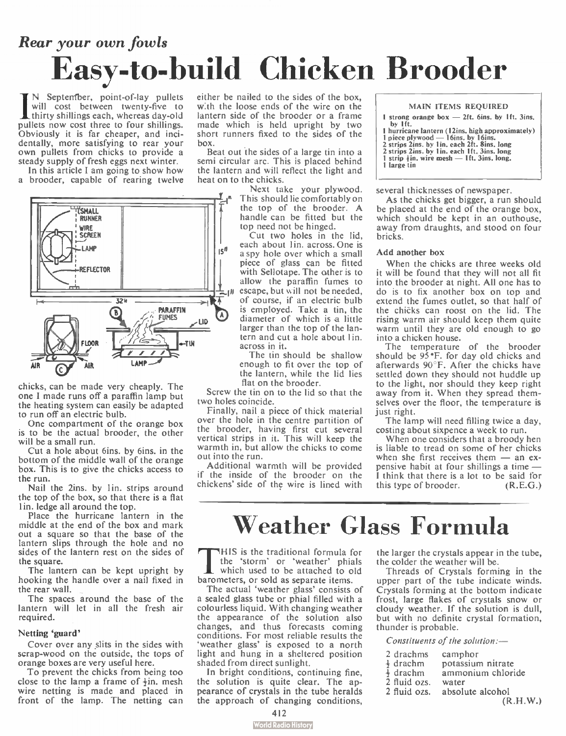# Rear your own fowls Easy-to- build Chicken Brooder

**I**N September, point-of-lay pullets<br>will cost between twenty-five to<br>dirity shillings each, whereas day-old<br>pullats now go four shillings N September, point-of-lay pullets will cost between twenty-five to pullets now cost three to four shillings. Obviously it is far cheaper, and incidentally, more satisfying to rear your own pullets from chicks to provide a steady supply of fresh eggs next winter.

In this article I am going to show how a brooder, capable of rearing twelve



chicks, can be made very cheaply. The one I made runs off a paraffin lamp but the heating system can easily be adapted to run off an electric bulb.

One compartment of the orange box is to be the actual brooder, the other will be a small run.

Cut a hole about 6ins. by 6ins. in the bottom of the middle wall of the orange box. This is to give the chicks access to the run.

Nail the 2ins. by 1in. strips around the top of the box, so that there is a flat 1 in. ledge all around the top.

Place the hurricane lantern in the middle at the end of the box and mark out a square so that the base of the lantern slips through the hole and no sides of the lantern rest on the sides of the square.

The lantern can be kept upright by hooking the handle over a nail fixed in the rear wall.

The spaces around the base of the lantern will let in all the fresh air required.

#### Netting 'guard'

Cover over any slits in the sides with scrap-wood on the outside, the tops of orange boxes are very useful here.

To prevent the chicks from being too close to the lamp a frame of  $\frac{1}{2}$ in. mesh wire netting is made and placed in front of the lamp. The netting can either be nailed to the sides of the box, w:th the loose ends of the wire on the lantern side of the brooder or a frame made which is held upright by two short runners fixed to the sides of the box.

Beat out the sides of a large tin into a semi circular arc. This is placed behind the lantern and will reflect the light and heat on to the chicks.

> Next take your plywood. This should lie comfortably on the top of the brooder. A handle can be fitted but the top need not be hinged.

Cut two holes in the lid, each about 1in. across. One is a spy hole over which a small piece of glass can be fitted with Sellotape. The other is to allow the paraffin fumes to escape, but will not be needed, of course, if an electric bulb is employed. Take a tin, the diameter of which is a little larger than the top of the lantern and cut a hole about 1 in. across in it.

The tin should be shallow enough to fit over the top of the lantern, while the lid lies flat on the brooder.

Screw the tin on to the lid so that the two holes coincide.

Finally, nail a piece of thick material over the hole in the centre partition of the brooder, having first cut several vertical strips in it. This will keep the warmth in, but allow the chicks to come out into the run.

Additional warmth will be provided if the inside of the brooder on the chickens' side of the wire is lined with MAIN ITEMS REQUIRED

1 strong orange box — 2ft. 6ins. by 1ft. 3ins. by Ift. I hurricane lantern ( 12ins. high approximately) 1 piece plywood — 16ins. by 16ins. 2 strips 2ins. by lin. each 2ft. 8ins. long 2 strips 2ins. by lin. each 1ft. 3ins. long 1 strip  $\frac{1}{2}$ in. wire mesh - 1ft. 3ins. long. I large tin

several thicknesses of newspaper.

As the chicks get bigger, a run should be placed at the end of the orange box, which should be kept in an outhouse, away from draughts, and stood on four bricks.

#### Add another box

When the chicks are three weeks old it will be found that they will not all fit into the brooder at night. All one has to do is to fix another box on top and extend the fumes outlet, so that half of the chièks can roost on the lid. The rising warm air should keep them quite warm until they are old enough to go into a chicken house.

The temperature of the brooder should be 95'F. for day old chicks and afterwards 90°F. After the chicks have settled down they should not huddle up to the light, nor should they keep right away from it. When they spread themselves over the floor, the temperature is just right.

The lamp will need filling twice a day, costing about sixpence a week to run.

When one considers that a broody hen is liable to tread on some of her chicks when she first receives them — an expensive habit at four shillings a time — I think that there is a lot to be said for this type of brooder. (R.E.G.)

## Weather Glass Formula

THIS is the traditional formula for the 'storm' or 'weather' phials<br>which used to be attached to old<br>barometers, or sold as separate items. HIS is the traditional formula for the 'storm' or 'weather' phials which used to be attached to old

The actual 'weather glass' consists of a sealed glass tube or phial filled with a colourless liquid. With changing weather the appearance of the solution also changes, and thus forecasts coming conditions. For most reliable results the 'weather glass' is exposed to a north light and hung in a sheltered position shaded from direct sunlight.

In bright conditions, continuing fine, the solution is quite clear. The appearance of crystals in the tube heralds the approach of changing conditions,

the larger the crystals appear in the tube, the colder the weather will be.

Threads of Crystals forming in the upper part of the tube indicate winds. Crystals forming at the bottom indicate frost, large flakes of crystals snow or cloudy weather. If the solution is dull, but with no definite crystal formation, thunder is probable.

Constituents of the solution:-

| 2 drachms            | camphor           |
|----------------------|-------------------|
| $\frac{1}{2}$ drachm | potassium nitrate |
| $\frac{1}{2}$ drachm | ammonium chloride |
| 2 fluid ozs.         | water             |
| 2 fluid ozs.         | absolute alcohol  |
|                      | (R.H.W.)          |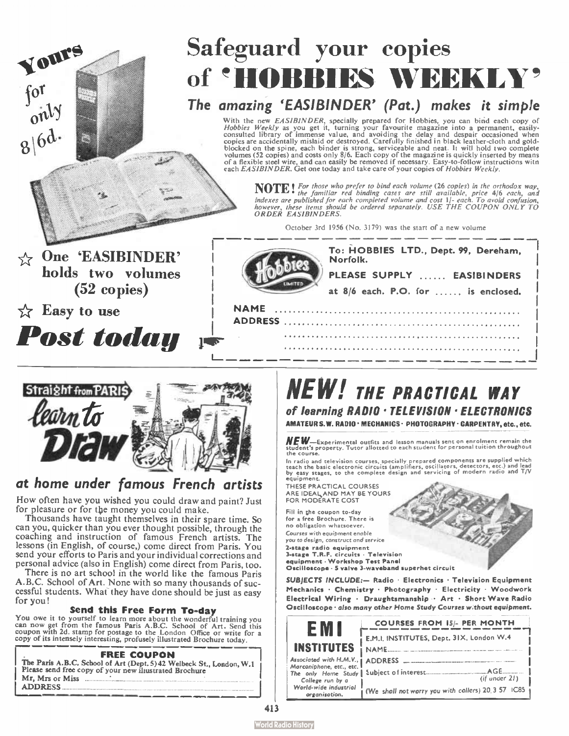# Safeguard your copies of 'HOBBIES WEEKLY'

### The amazing `EASIBINDER' (Pat.) makes it simple

With the new *EASIBINDER*, specially prepared tor Hobbless, you can bind each copy of<br>Hobbles Weekly as you get it, turning your favourite magazine into a permanent, easily-<br>consulted library of immense value, and avoidin each EASIBINDER. Get one today and take care of your copies of Hobbies Weekly.

NOTE! I for those who prefer to bind each volume (26 copies) in the orthodox way,<br>indexes are published for each completed volume and cost 1|- each each, and<br>indexes are published for each completed volume and cost 1|- eac

October 3rd 1956 ( No. 3179) was the start of a new volume

| One 'EASIBINDER'<br>holds two volumes<br>$(52 \text{ copies})$ | To: HOBBIES LTD., Dept. 99, Dereham,<br>Norfolk.<br>PLEASE SUPPLY  EASIBINDERS<br>at 8/6 each. P.O. for  is enclosed. |
|----------------------------------------------------------------|-----------------------------------------------------------------------------------------------------------------------|
| $\forall$ Easy to use                                          | <b>NAME</b><br><b>ADDRESS</b>                                                                                         |
| <b>Post today</b>                                              | $\frac{1}{2}$                                                                                                         |



Yours

for<br>only

 $8|6d$ 

### at home under famous French artists

How often have you wished you could draw and paint? Just for pleasure or for the money you could make.

Thousands have taught themselves in their spare time. So can you, quicker than you ever thought possible, through the coaching and instruction of famous French artists. The lessons (in English, of course,) come direct from Paris. You send your efforts to Paris and your individual corrections and personal advice (also in English) come direct from Paris, too.

There is no art school in the world like the famous Paris A.B.C. School of Art. None with so many thousands of successful students. What they have done should be just as easy for you!

**Send this Free Form To-day**<br>You owe it to yourself to learn more about the wonderful training you<br>can now get from the famous Paris A.B.C. School of Art. Send this<br>coupon with 2d. stamp for postage to the London Office or

#### FREE COUPON

| The Paris A.B.C. School of Art (Dept. 5) 42 Weibeck St., London, W.1<br>Please send free copy of your new illustrated Brochure |  |
|--------------------------------------------------------------------------------------------------------------------------------|--|
| Mr. Mrs or Miss                                                                                                                |  |
| <b>ADDRESS</b>                                                                                                                 |  |

## NEW! THE PRACTICAL WAY of learning RADIO • TELEVISION • ELECTRONICS

AMATEUR S.W. RADIO · MECHANICS · PHOTOGRAPHY · CARPENTRY, etc., etc.

 $\boldsymbol{H}\boldsymbol{E}\boldsymbol{W}$ —Experimental outfits and lesson manuals sent on enrolment remain the<br>student's property. Tutor allotted to each student for personal tuition throughout the course.

In radio and television courses, specially prepared components are supplied which<br>teach the basic electronic circuits (amplifiers, oscillators, detectors, etc.) and lead<br>by easy stages, to the complete design and servicing

THESE PRACTICAL COURSES ARE IDEAL,AND MAY BE YOURS FOR MODERATE COST

Fill in the coupon to-day for a free Brochure. There is no obligation whatsoever. Courses with equipment enable you to design, construct and service 2-stage radio equipment 3- stage T.R.F. circuits • Television equipment • Workshop Test Panel

Oscilloscope • 3 valve 3- waveband superhet circuit

SUBJECTS INCLUDE:— Radio • Electronics • Television Equipment Mechanics • Ghemistry • Photography • Electricity • Woodwork<br>Electrical Wiring • Draughtsmanship • Art • Short Wave Radio Oscilloscope • also many other Home Study Courses w:thout equipment.

| $\mathbf{F}$ M                                                                          | <b>COURSES FROM 15/- PER MONTH</b>            |
|-----------------------------------------------------------------------------------------|-----------------------------------------------|
|                                                                                         | E.M.I. INSTITUTES, Dept. 31X, London W.4      |
| <b>INSTITUTES</b>                                                                       | NAME.                                         |
| Associated with H.M.V., j                                                               | <b>ADDRESS</b>                                |
| Marconiphone, etc., etc.<br>The only Home Study Subject of interest<br>College run by a | AGE<br>$(if$ under $21)$                      |
| World-wide industrial<br>organisation.                                                  | (We shall not warry you with callers) 20.3 57 |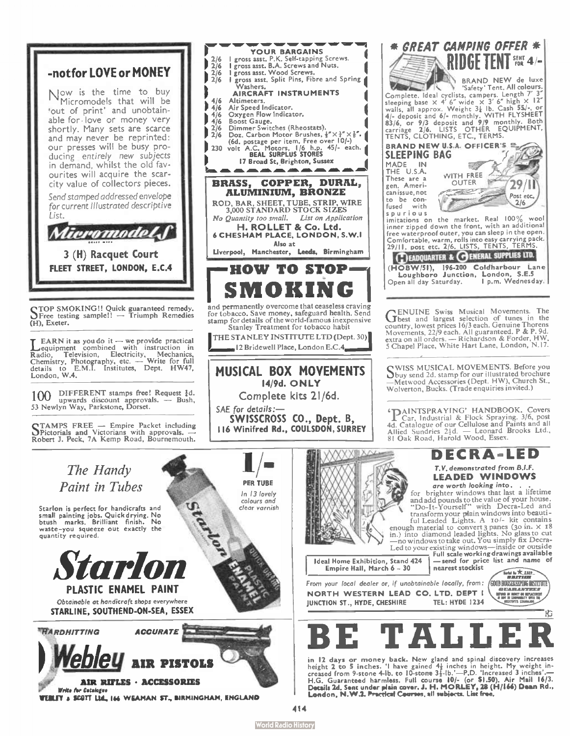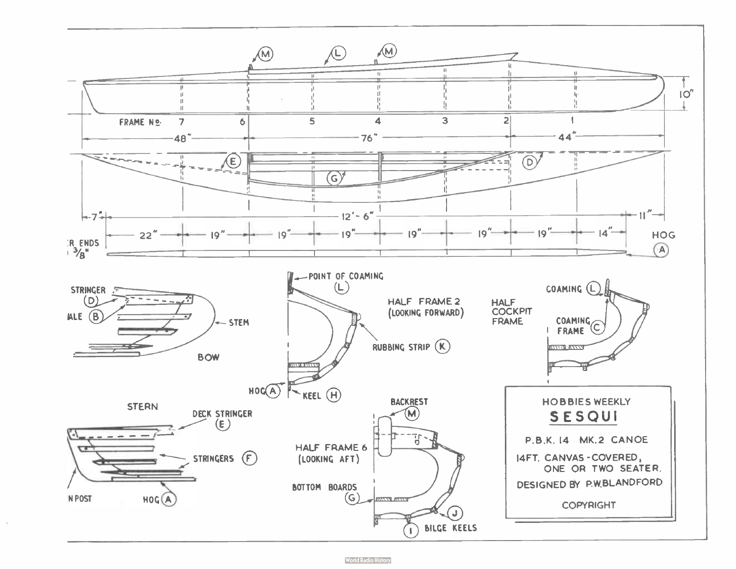